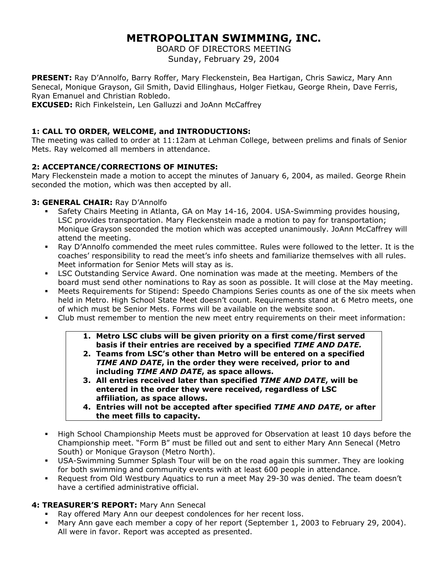# **METROPOLITAN SWIMMING, INC.**

BOARD OF DIRECTORS MEETING Sunday, February 29, 2004

**PRESENT:** Ray D'Annolfo, Barry Roffer, Mary Fleckenstein, Bea Hartigan, Chris Sawicz, Mary Ann Senecal, Monique Grayson, Gil Smith, David Ellinghaus, Holger Fietkau, George Rhein, Dave Ferris, Ryan Emanuel and Christian Robledo.

**EXCUSED:** Rich Finkelstein, Len Galluzzi and JoAnn McCaffrey

# **1: CALL TO ORDER, WELCOME, and INTRODUCTIONS:**

The meeting was called to order at 11:12am at Lehman College, between prelims and finals of Senior Mets. Ray welcomed all members in attendance.

# **2: ACCEPTANCE/CORRECTIONS OF MINUTES:**

Mary Fleckenstein made a motion to accept the minutes of January 6, 2004, as mailed. George Rhein seconded the motion, which was then accepted by all.

## **3: GENERAL CHAIR:** Ray D'Annolfo

- Safety Chairs Meeting in Atlanta, GA on May 14-16, 2004. USA-Swimming provides housing, LSC provides transportation. Mary Fleckenstein made a motion to pay for transportation; Monique Grayson seconded the motion which was accepted unanimously. JoAnn McCaffrey will attend the meeting.
- Ray D'Annolfo commended the meet rules committee. Rules were followed to the letter. It is the coaches' responsibility to read the meet's info sheets and familiarize themselves with all rules. Meet information for Senior Mets will stay as is.
- LSC Outstanding Service Award. One nomination was made at the meeting. Members of the board must send other nominations to Ray as soon as possible. It will close at the May meeting.
- Meets Requirements for Stipend: Speedo Champions Series counts as one of the six meets when held in Metro. High School State Meet doesn't count. Requirements stand at 6 Metro meets, one of which must be Senior Mets. Forms will be available on the website soon.
- Club must remember to mention the new meet entry requirements on their meet information:
	- **1. Metro LSC clubs will be given priority on a first come/first served basis if their entries are received by a specified** *TIME AND DATE.*
	- **2. Teams from LSC's other than Metro will be entered on a specified**  *TIME AND DATE***, in the order they were received, prior to and including** *TIME AND DATE***, as space allows.**
	- **3. All entries received later than specified** *TIME AND DATE***, will be entered in the order they were received, regardless of LSC affiliation, as space allows.**
	- **4. Entries will not be accepted after specified** *TIME AND DATE***, or after the meet fills to capacity.**
- High School Championship Meets must be approved for Observation at least 10 days before the Championship meet. "Form B" must be filled out and sent to either Mary Ann Senecal (Metro South) or Monique Grayson (Metro North).
- USA-Swimming Summer Splash Tour will be on the road again this summer. They are looking for both swimming and community events with at least 600 people in attendance.
- Request from Old Westbury Aquatics to run a meet May 29-30 was denied. The team doesn't have a certified administrative official.

## **4: TREASURER'S REPORT:** Mary Ann Senecal

- Ray offered Mary Ann our deepest condolences for her recent loss.
- Mary Ann gave each member a copy of her report (September 1, 2003 to February 29, 2004). All were in favor. Report was accepted as presented.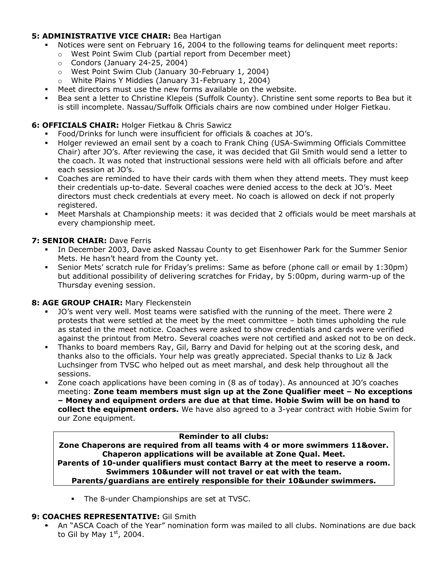#### **5: ADMINISTRATIVE VICE CHAIR:** Bea Hartigan

- Notices were sent on February 16, 2004 to the following teams for delinquent meet reports:
	- o West Point Swim Club (partial report from December meet)
	- $\circ$  Condors (January 24-25, 2004)
	- o West Point Swim Club (January 30-February 1, 2004)<br>o White Plains Y Middies (January 31-February 1, 2004)
	- White Plains Y Middies (January 31-February 1, 2004)
- Meet directors must use the new forms available on the website.
- Bea sent a letter to Christine Klepeis (Suffolk County). Christine sent some reports to Bea but it is still incomplete. Nassau/Suffolk Officials chairs are now combined under Holger Fietkau.

## **6: OFFICIALS CHAIR:** Holger Fietkau & Chris Sawicz

- Food/Drinks for lunch were insufficient for officials & coaches at JO's.
- Holger reviewed an email sent by a coach to Frank Ching (USA-Swimming Officials Committee Chair) after JO's. After reviewing the case, it was decided that Gil Smith would send a letter to the coach. It was noted that instructional sessions were held with all officials before and after each session at JO's.
- Coaches are reminded to have their cards with them when they attend meets. They must keep their credentials up-to-date. Several coaches were denied access to the deck at JO's. Meet directors must check credentials at every meet. No coach is allowed on deck if not properly registered.
- Meet Marshals at Championship meets: it was decided that 2 officials would be meet marshals at every championship meet.

## **7: SENIOR CHAIR: Dave Ferris**

- **I.** In December 2003, Dave asked Nassau County to get Eisenhower Park for the Summer Senior Mets. He hasn't heard from the County yet.
- Senior Mets' scratch rule for Friday's prelims: Same as before (phone call or email by 1:30pm) but additional possibility of delivering scratches for Friday, by 5:00pm, during warm-up of the Thursday evening session.

## **8: AGE GROUP CHAIR:** Mary Fleckenstein

- JO's went very well. Most teams were satisfied with the running of the meet. There were 2 protests that were settled at the meet by the meet committee – both times upholding the rule as stated in the meet notice. Coaches were asked to show credentials and cards were verified against the printout from Metro. Several coaches were not certified and asked not to be on deck.
- Thanks to board members Ray, Gil, Barry and David for helping out at the scoring desk, and thanks also to the officials. Your help was greatly appreciated. Special thanks to Liz & Jack Luchsinger from TVSC who helped out as meet marshal, and desk help throughout all the sessions.
- Zone coach applications have been coming in (8 as of today). As announced at JO's coaches meeting: **Zone team members must sign up at the Zone Qualifier meet – No exceptions – Money and equipment orders are due at that time. Hobie Swim will be on hand to collect the equipment orders.** We have also agreed to a 3-year contract with Hobie Swim for our Zone equipment.

#### **Reminder to all clubs: Zone Chaperons are required from all teams with 4 or more swimmers 11&over. Chaperon applications will be available at Zone Qual. Meet. Parents of 10-under qualifiers must contact Barry at the meet to reserve a room. Swimmers 10&under will not travel or eat with the team. Parents/guardians are entirely responsible for their 10&under swimmers.**

**The 8-under Championships are set at TVSC.** 

#### **9: COACHES REPRESENTATIVE:** Gil Smith

 An "ASCA Coach of the Year" nomination form was mailed to all clubs. Nominations are due back to Gil by May  $1<sup>st</sup>$ , 2004.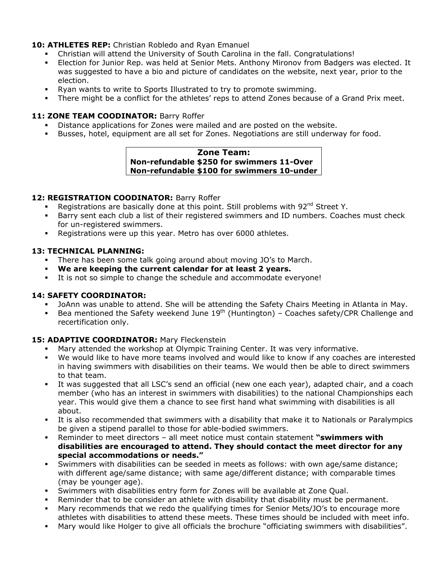## 10: ATHLETES REP: Christian Robledo and Ryan Emanuel

- Christian will attend the University of South Carolina in the fall. Congratulations!
- Election for Junior Rep. was held at Senior Mets. Anthony Mironov from Badgers was elected. It was suggested to have a bio and picture of candidates on the website, next year, prior to the election.
- Ryan wants to write to Sports Illustrated to try to promote swimming.
- There might be a conflict for the athletes' reps to attend Zones because of a Grand Prix meet.

# 11: **ZONE TEAM COODINATOR:** Barry Roffer

- Distance applications for Zones were mailed and are posted on the website.
- Busses, hotel, equipment are all set for Zones. Negotiations are still underway for food.

#### **Zone Team: Non-refundable \$250 for swimmers 11-Over Non-refundable \$100 for swimmers 10-under**

## 12: REGISTRATION COODINATOR: Barry Roffer

- Registrations are basically done at this point. Still problems with 92<sup>nd</sup> Street Y.
- Barry sent each club a list of their registered swimmers and ID numbers. Coaches must check for un-registered swimmers.
- Registrations were up this year. Metro has over 6000 athletes.

# **13: TECHNICAL PLANNING:**

- There has been some talk going around about moving JO's to March.
- **We are keeping the current calendar for at least 2 years.**
- It is not so simple to change the schedule and accommodate everyone!

## **14: SAFETY COORDINATOR:**

- JoAnn was unable to attend. She will be attending the Safety Chairs Meeting in Atlanta in May.
- Bea mentioned the Safety weekend June  $19<sup>th</sup>$  (Huntington) Coaches safety/CPR Challenge and recertification only.

# 15: **ADAPTIVE COORDINATOR:** Mary Fleckenstein

- Mary attended the workshop at Olympic Training Center. It was very informative.
- We would like to have more teams involved and would like to know if any coaches are interested in having swimmers with disabilities on their teams. We would then be able to direct swimmers to that team.
- It was suggested that all LSC's send an official (new one each year), adapted chair, and a coach member (who has an interest in swimmers with disabilities) to the national Championships each year. This would give them a chance to see first hand what swimming with disabilities is all about.
- It is also recommended that swimmers with a disability that make it to Nationals or Paralympics be given a stipend parallel to those for able-bodied swimmers.
- Reminder to meet directors all meet notice must contain statement **"swimmers with disabilities are encouraged to attend. They should contact the meet director for any special accommodations or needs."**
- Swimmers with disabilities can be seeded in meets as follows: with own age/same distance; with different age/same distance; with same age/different distance; with comparable times (may be younger age).
- Swimmers with disabilities entry form for Zones will be available at Zone Qual.
- Reminder that to be consider an athlete with disability that disability must be permanent.
- Mary recommends that we redo the qualifying times for Senior Mets/JO's to encourage more athletes with disabilities to attend these meets. These times should be included with meet info.
- Mary would like Holger to give all officials the brochure "officiating swimmers with disabilities".